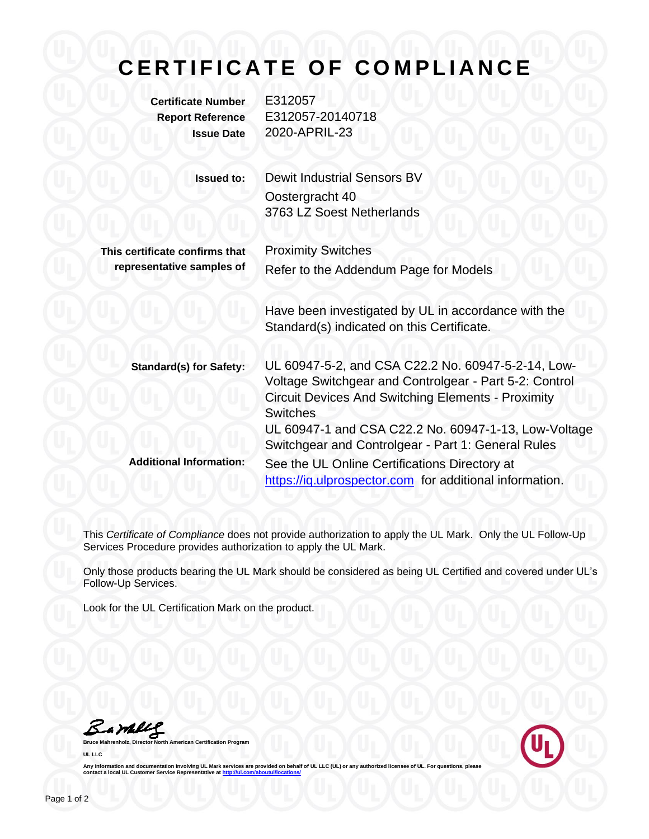## **CERTIFICATE OF COMPLIANCE**

**Certificate Number** E312057

**Report Reference** E312057-20140718 **Issue Date** 2020-APRIL-23

| <b>Issued to:</b>              | Dewit Industrial Sensors BV<br>Oostergracht 40<br>3763 LZ Soest Netherlands                                                                                                                  |
|--------------------------------|----------------------------------------------------------------------------------------------------------------------------------------------------------------------------------------------|
| This certificate confirms that | <b>Proximity Switches</b>                                                                                                                                                                    |
| representative samples of      | Refer to the Addendum Page for Models                                                                                                                                                        |
|                                | Have been investigated by UL in accordance with the<br>Standard(s) indicated on this Certificate.                                                                                            |
| <b>Standard(s) for Safety:</b> | UL 60947-5-2, and CSA C22.2 No. 60947-5-2-14, Low-<br>Voltage Switchgear and Controlgear - Part 5-2: Control<br><b>Circuit Devices And Switching Elements - Proximity</b><br><b>Switches</b> |
|                                | UL 60947-1 and CSA C22.2 No. 60947-1-13, Low-Voltage<br>Switchgear and Controlgear - Part 1: General Rules                                                                                   |
| <b>Additional Information:</b> | See the UL Online Certifications Directory at<br>https://iq.ulprospector.com for additional information.                                                                                     |

This *Certificate of Compliance* does not provide authorization to apply the UL Mark. Only the UL Follow-Up Services Procedure provides authorization to apply the UL Mark.

Only those products bearing the UL Mark should be considered as being UL Certified and covered under UL's Follow-Up Services.

Look for the UL Certification Mark on the product.

Bambleg

**Bruce Mahrenholz, Director North American Certification Program UL LLC**



Any information and documentation involving UL Mark services are provided on behalf of UL LLC (UL) or any authorized licensee of UL. For questions, please<br>contact a local UL Customer Service Representative at <u>http://ul.co</u>